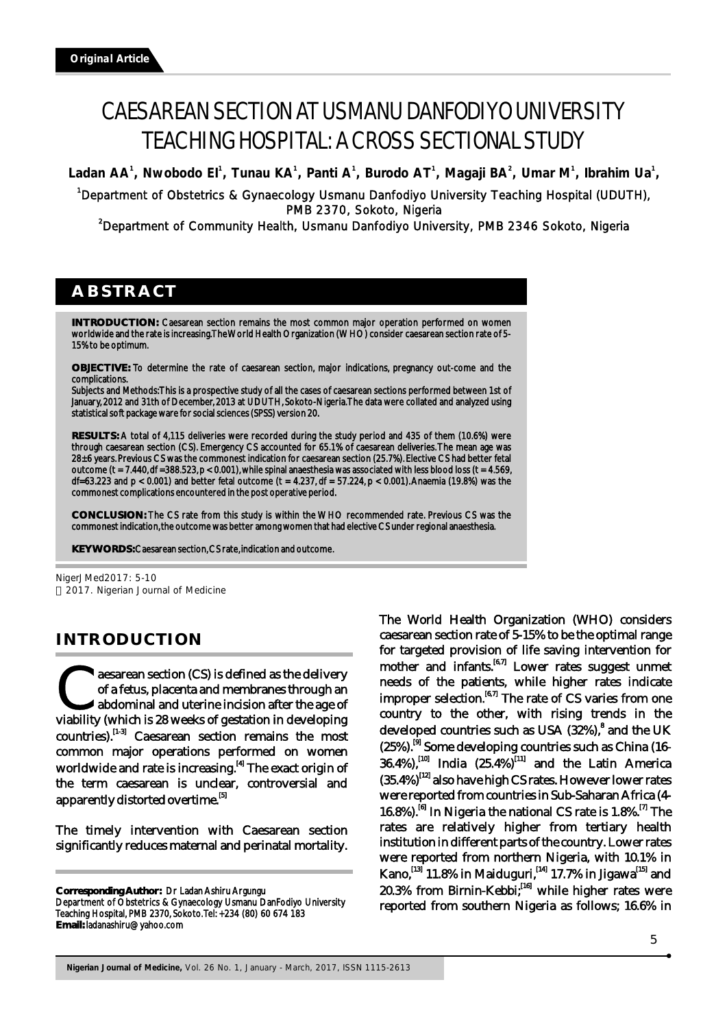# CAESAREAN SECTION AT USMANU DANFODIYO UNIVERSITY TEACHING HOSPITAL: A CROSS SECTIONAL STUDY

Ladan AA<sup>1</sup>, Nwobodo El<sup>1</sup>, Tunau KA<sup>1</sup>, Panti A<sup>1</sup>, Burodo AT<sup>1</sup>, Magaji BA<sup>2</sup>, Umar M<sup>1</sup>, Ibrahim Ua<sup>1</sup>,

<sup>1</sup>Department of Obstetrics & Gynaecology Usmanu Danfodiyo University Teaching Hospital (UDUTH), PMB 2370, Sokoto, Nigeria

<sup>2</sup>Department of Community Health, Usmanu Danfodiyo University, PMB 2346 Sokoto, Nigeria

# **ABSTRACT**

**INTRODUCTION:** Caesarean section remains the most common major operation performed on women worldwide and the rate is increasing. The World Health Organization (WHO) consider caesarean section rate of 5- 15% to be optimum.

**OBJECTIVE:** To determine the rate of caesarean section, major indications, pregnancy out-come and the complications.

Subjects and Methods: This is a prospective study of all the cases of caesarean sections performed between 1st of January, 2012 and 31th of December, 2013 at UDUTH, Sokoto-Nigeria. The data were collated and analyzed using statistical soft package ware for social sciences (SPSS) version 20.

**RESULTS:** A total of 4,115 deliveries were recorded during the study period and 435 of them (10.6%) were through caesarean section (CS). Emergency CS accounted for 65.1% of caesarean deliveries. The mean age was 28±6 years. Previous CS was the commonest indication for caesarean section (25.7%). Elective CS had better fetal outcome (t = 7.440, df =388.523,  $p < 0.001$ ), while spinal anaesthesia was associated with less blood loss (t = 4.569, df=63.223 and p < 0.001) and better fetal outcome (t = 4.237, df = 57.224, p < 0.001). Anaemia (19.8%) was the commonest complications encountered in the post operative period.

**CONCLUSION:** The CS rate from this study is within the WHO recommended rate. Previous CS was the commonest indication, the outcome was better among women that had elective CS under regional anaesthesia.

**KEY WORDS:** Caesarean section, CS rate, indication and outcome.

NigerJMed2017: 5-10 2017. Nigerian Journal of Medicine

# **INTRODUCTION**

**Confident** and membranes through an abdominal and uterine incision after the age of viability (which is 28 weeks of gestation in developing abdominal and uterine incision after the age of  $countries$ ).<sup>[1-3]</sup> Caesarean section remains the most common major operations performed on women worldwide and rate is increasing.<sup>[4]</sup> The exact origin of the term caesarean is unclear, controversial and apparently distorted overtime.<sup>[5]</sup>

The timely intervention with Caesarean section significantly reduces maternal and perinatal mortality.

**Corresponding Author:** Dr Ladan Ashiru Argungu

Department of Obstetrics & Gynaecology Usmanu DanFodiyo University Teaching Hospital, PMB 2370, Sokoto. Tel: +234 (80) 60 674 183 **Email:** ladanashiru@yahoo.com

The World Health Organization (WHO) considers caesarean section rate of 5-15% to be the optimal range for targeted provision of life saving intervention for mother and infants. $[6,7]$  Lower rates suggest unmet needs of the patients, while higher rates indicate improper selection.  $[6,7]$  The rate of CS varies from one country to the other, with rising trends in the developed countries such as USA (32%),<sup>8</sup> and the UK  $(25\%)$ .  $\overline{^{[9]}}$  Some developing countries such as China (16- $(36.4\%)$ ,  $^{[10]}$  India  $(25.4\%)$ <sup> $[11]$ </sup> and the Latin America  $(35.4%)$ <sup>[12]</sup> also have high CS rates. However lower rates were reported from countries in Sub-Saharan Africa (4- 16.8%).  $^{[6]}$  In Nigeria the national CS rate is 1.8%. <sup>[7]</sup> The rates are relatively higher from tertiary health institution in different parts of the country. Lower rates were reported from northern Nigeria, with 10.1% in Kano,  $^{[13]}$  11.8% in Maiduguri,  $^{[14]}$  17.7% in Jigawa<sup>[15]</sup> and  $20.3\%$  from Birnin-Kebbi;  $^{[16]}$  while higher rates were reported from southern Nigeria as follows; 16.6% in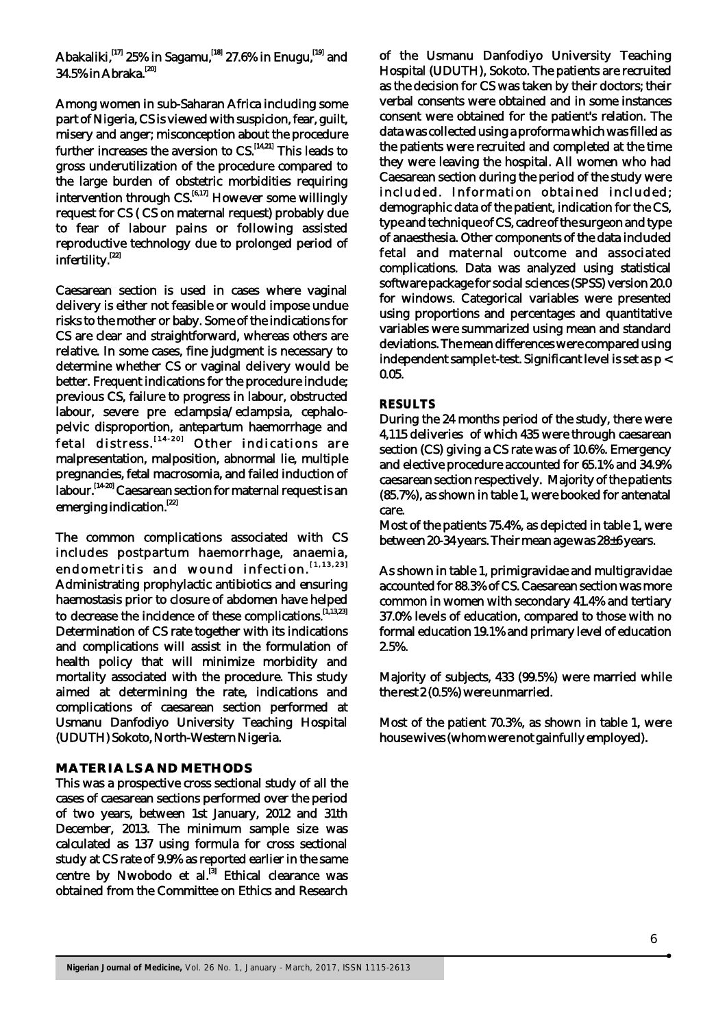Abakaliki,<sup>[17]</sup> 25% in Sagamu,<sup>[18]</sup> 27.6% in Enugu,<sup>[19]</sup> and 34.5% in Abraka.<sup>[20]</sup>

Among women in sub-Saharan Africa including some part of Nigeria, CS is viewed with suspicion, fear, guilt, misery and anger; misconception about the procedure further increases the aversion to  $\text{CS}$ .  $\left[14,21\right]$  This leads to gross underutilization of the procedure compared to the large burden of obstetric morbidities requiring intervention through  $CS$ . [6,17] However some willingly request for CS ( CS on maternal request) probably due to fear of labour pains or following assisted reproductive technology due to prolonged period of infertility.<sup>[22]</sup>

Caesarean section is used in cases where vaginal delivery is either not feasible or would impose undue risks to the mother or baby. Some of the indications for CS are clear and straightforward, whereas others are relative. In some cases, fine judgment is necessary to determine whether CS or vaginal delivery would be better. Frequent indications for the procedure include; previous CS, failure to progress in labour, obstructed labour, severe pre eclampsia/eclampsia, cephalopelvic disproportion, antepartum haemorrhage and fetal distress.<sup>[14-20]</sup> Other indications are malpresentation, malposition, abnormal lie, multiple pregnancies, fetal macrosomia, and failed induction of labour. [14-20] Caesarean section for maternal request is an emerging indication.<sup>[22]</sup>

The common complications associated with CS includes postpartum haemorrhage, anaemia, endometritis and wound infection.<sup>[1,13,23]</sup> Administrating prophylactic antibiotics and ensuring haemostasis prior to closure of abdomen have helped to decrease the incidence of these complications.<sup>[1,13,23]</sup> Determination of CS rate together with its indications and complications will assist in the formulation of health policy that will minimize morbidity and mortality associated with the procedure. This study aimed at determining the rate, indications and complications of caesarean section performed at Usmanu Danfodiyo University Teaching Hospital (UDUTH) Sokoto, North-Western Nigeria.

# **MATERIALS AND METHODS**

This was a prospective cross sectional study of all the cases of caesarean sections performed over the period of two years, between 1st January, 2012 and 31th December, 2013. The minimum sample size was calculated as 137 using formula for cross sectional study at CS rate of 9.9% as reported earlier in the same centre by Nwobodo et al. $^{[3]}$  Ethical clearance was obtained from the Committee on Ethics and Research

of the Usmanu Danfodiyo University Teaching Hospital (UDUTH), Sokoto. The patients are recruited as the decision for CS was taken by their doctors; their verbal consents were obtained and in some instances consent were obtained for the patient's relation. The data was collected using a proforma which was filled as the patients were recruited and completed at the time they were leaving the hospital. All women who had Caesarean section during the period of the study were included. Information obtained included; demographic data of the patient, indication for the CS, type and technique of CS, cadre of the surgeon and type of anaesthesia. Other components of the data included fetal and maternal outcome and associated complications. Data was analyzed using statistical software package for social sciences (SPSS) version 20.0 for windows. Categorical variables were presented using proportions and percentages and quantitative variables were summarized using mean and standard deviations. The mean differences were compared using independent sample t-test. Significant level is set as p < 0.05.

#### **RESULTS**

During the 24 months period of the study, there were 4,115 deliveries of which 435 were through caesarean section (CS) giving a CS rate was of 10.6%. Emergency and elective procedure accounted for 65.1% and 34.9% caesarean section respectively. Majority of the patients (85.7%), as shown in table 1, were booked for antenatal care.

Most of the patients 75.4%, as depicted in table 1, were between 20-34 years. Their mean age was 28±6 years.

As shown in table 1, primigravidae and multigravidae accounted for 88.3% of CS. Caesarean section was more common in women with secondary 41.4% and tertiary 37.0% levels of education, compared to those with no formal education 19.1% and primary level of education 2.5%.

Majority of subjects, 433 (99.5%) were married while the rest 2 (0.5%) were unmarried.

Most of the patient 70.3%, as shown in table 1, were house wives (whom were not gainfully employed).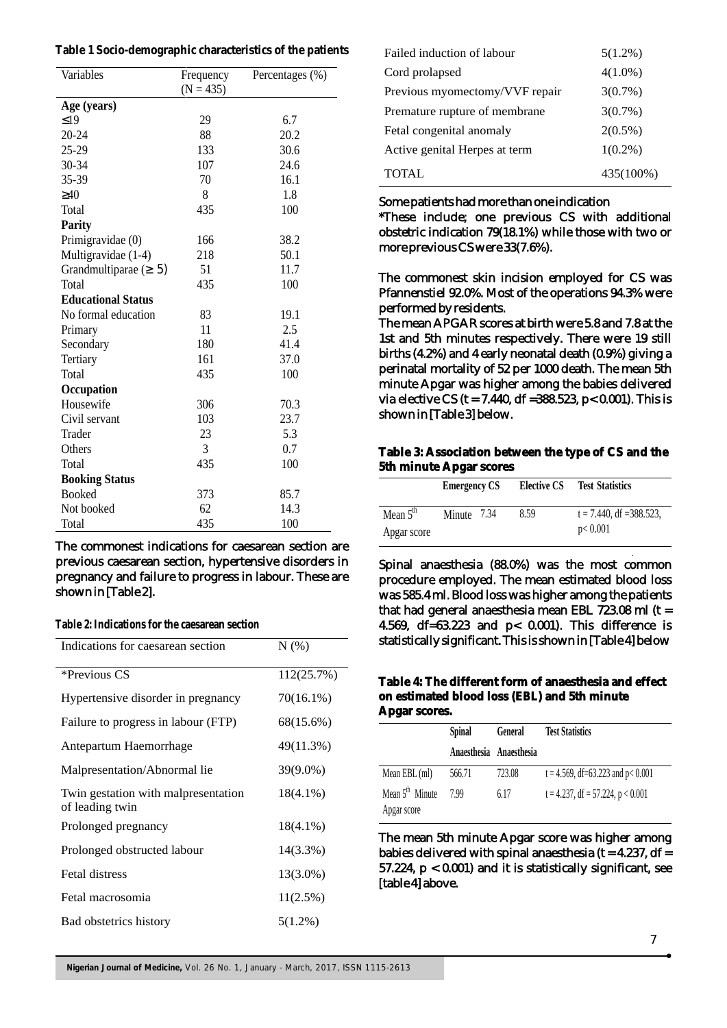| Variables                 | Frequency<br>$(N = 435)$ | Percentages (%) |
|---------------------------|--------------------------|-----------------|
| Age (years)               |                          |                 |
| 19                        | 29                       | 6.7             |
| 20-24                     | 88                       | 20.2            |
| 25-29                     | 133                      | 30.6            |
| 30-34                     | 107                      | 24.6            |
| 35-39                     | 70                       | 16.1            |
| 40                        | 8                        | 1.8             |
| Total                     | 435                      | 100             |
| <b>Parity</b>             |                          |                 |
| Primigravidae (0)         | 166                      | 38.2            |
| Multigravidae (1-4)       | 218                      | 50.1            |
| Grandmultiparae (<br>5)   | 51                       | 11.7            |
| Total                     | 435                      | 100             |
| <b>Educational Status</b> |                          |                 |
| No formal education       | 83                       | 19.1            |
| Primary                   | 11                       | 2.5             |
| Secondary                 | 180                      | 41.4            |
| Tertiary                  | 161                      | 37.0            |
| Total                     | 435                      | 100             |
| Occupation                |                          |                 |
| Housewife                 | 306                      | 70.3            |
| Civil servant             | 103                      | 23.7            |
| Trader                    | 23                       | 5.3             |
| Others                    | 3                        | 0.7             |
| Total                     | 435                      | 100             |
| <b>Booking Status</b>     |                          |                 |
| <b>Booked</b>             | 373                      | 85.7            |
| Not booked                | 62                       | 14.3            |
| Total                     | 435                      | 100             |

The commonest indications for caesarean section are previous caesarean section, hypertensive disorders in pregnancy and failure to progress in labour. These are shown in [Table 2].

**Table 2: Indications for the caesarean section**

| Indications for caesarean section                      | N(%)        |
|--------------------------------------------------------|-------------|
| *Previous CS                                           | 112(25.7%)  |
| Hypertensive disorder in pregnancy                     | 70(16.1%)   |
| Failure to progress in labour (FTP)                    | 68(15.6%)   |
| Antepartum Haemorrhage                                 | 49(11.3%)   |
| Malpresentation/Abnormal lie                           | 39(9.0%)    |
| Twin gestation with malpresentation<br>of leading twin | $18(4.1\%)$ |
| Prolonged pregnancy                                    | $18(4.1\%)$ |
| Prolonged obstructed labour                            | 14(3.3%)    |
| <b>Fetal distress</b>                                  | 13(3.0%)    |
| Fetal macrosomia                                       | 11(2.5%)    |
| Bad obstetrics history                                 | $5(1.2\%)$  |

| Failed induction of labour     | $5(1.2\%)$ |
|--------------------------------|------------|
| Cord prolapsed                 | $4(1.0\%)$ |
| Previous myomectomy/VVF repair | $3(0.7\%)$ |
| Premature rupture of membrane  | $3(0.7\%)$ |
| Fetal congenital anomaly       | $2(0.5\%)$ |
| Active genital Herpes at term  | $1(0.2\%)$ |
| <b>TOTAL</b>                   | 435(100%)  |

### Some patients had more than one indication

\*These include; one previous CS with additional obstetric indication 79(18.1%) while those with two or more previous CS were 33(7.6%).

The commonest skin incision employed for CS was Pfannenstiel 92.0%. Most of the operations 94.3% were performed by residents.

The mean APGAR scores at birth were 5.8 and 7.8 at the 1st and 5th minutes respectively. There were 19 still births (4.2%) and 4 early neonatal death (0.9%) giving a perinatal mortality of 52 per 1000 death. The mean 5th minute Apgar was higher among the babies delivered via elective CS ( $t = 7.440$ , df = 388.523, p< 0.001). This is shown in [Table 3] below.

**Table 3: Association between the type of CS and the 5th minute Apgar scores**

|                           | <b>Emergency CS</b> | <b>Elective CS</b> | <b>Test Statistics</b>                 |
|---------------------------|---------------------|--------------------|----------------------------------------|
| Mean $5th$<br>Apgar score | Minute 7.34         | 8.59               | $t = 7.440$ , df = 388.523,<br>p<0.001 |

Spinal anaesthesia (88.0%) was the most common procedure employed. The mean estimated blood loss was 585.4 ml. Blood loss was higher among the patients that had general anaesthesia mean EBL  $723.08$  ml (t = 4.569, df=63.223 and p< 0.001). This difference is statistically significant. This is shown in [Table 4] below

**Table 4: The different form of anaesthesia and effect on estimated blood loss (EBL) and 5th minute Apgar scores.**

|                                            | <b>Spinal</b> | General                 | <b>Test Statistics</b>               |
|--------------------------------------------|---------------|-------------------------|--------------------------------------|
|                                            |               | Anaesthesia Anaesthesia |                                      |
| Mean EBL (ml)                              | 566.71        | 723.08                  | $t = 4.569$ , df=63.223 and p< 0.001 |
| Mean 5 <sup>th</sup> Minute<br>Apgar score | 799           | 6.17                    | $t = 4.237$ , df = 57.224, p < 0.001 |

The mean 5th minute Apgar score was higher among babies delivered with spinal anaesthesia ( $t = 4.237$ , df = 57.224, p < 0.001) and it is statistically significant, see [table 4] above.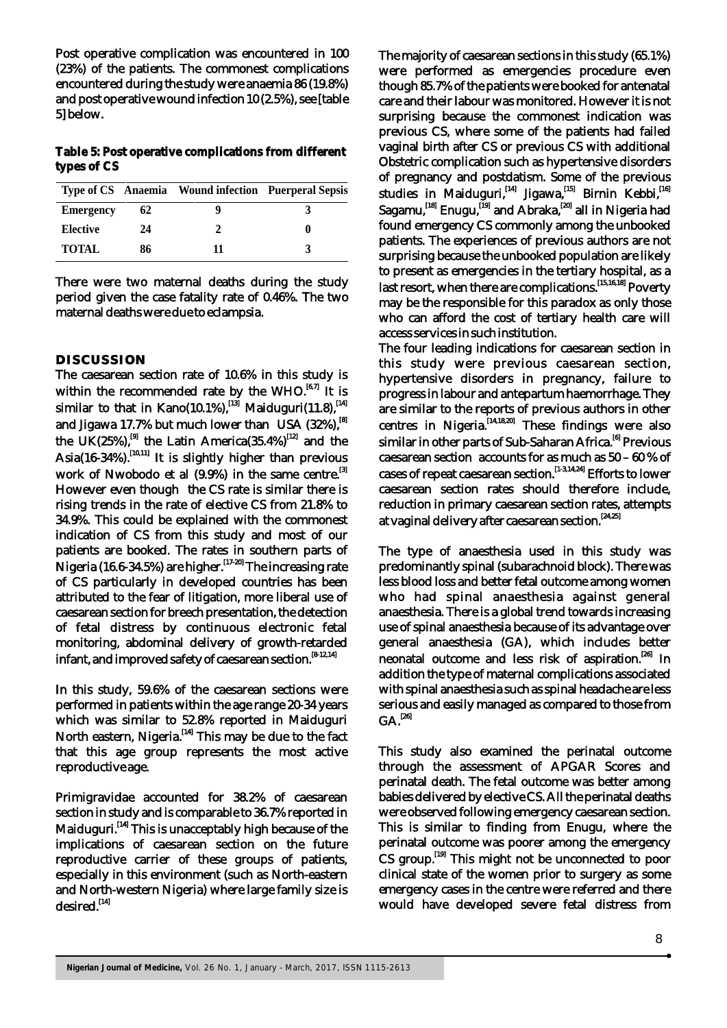Post operative complication was encountered in 100 (23%) of the patients. The commonest complications encountered during the study were anaemia 86 (19.8%) and post operative wound infection 10 (2.5%), see [table 5] below.

**Table 5: Post operative complications from different types of CS**

|                  |    | Type of CS Anaemia Wound infection Puerperal Sepsis |  |
|------------------|----|-----------------------------------------------------|--|
| <b>Emergency</b> | 62 | q                                                   |  |
| <b>Elective</b>  | 24 |                                                     |  |
| <b>TOTAL</b>     | 86 | 11                                                  |  |

There were two maternal deaths during the study period given the case fatality rate of 0.46%. The two maternal deaths were due to eclampsia.

# **DISCUSSION**

The caesarean section rate of 10.6% in this study is within the recommended rate by the WHO. $^{[6,7]}$  It is similar to that in Kano(10.1%),  $\lim_{n \to \infty} M$  Maiduguri(11.8),  $\lim_{n \to \infty} M$ and Jigawa 17.7% but much lower than USA  $(32\%)$ .<sup>[8]</sup> the UK(25%),<sup>[9]</sup> the Latin America(35.4%)<sup>[12]</sup> and the  $\text{Asia}(16-34\%)$ .  $^{[10,11]}$  It is slightly higher than previous work of Nwobodo et al (9.9%) in the same centre.<sup>[3]</sup> However even though the CS rate is similar there is rising trends in the rate of elective CS from 21.8% to 34.9%. This could be explained with the commonest indication of CS from this study and most of our patients are booked. The rates in southern parts of Nigeria  $(16.6-34.5\%)$  are higher.  $^{[17-20]}$  The increasing rate of CS particularly in developed countries has been attributed to the fear of litigation, more liberal use of caesarean section for breech presentation, the detection of fetal distress by continuous electronic fetal monitoring, abdominal delivery of growth-retarded infant, and improved safety of caesarean section.  $[8-12,14]$ 

In this study, 59.6% of the caesarean sections were performed in patients within the age range 20-34 years which was similar to 52.8% reported in Maiduguri North eastern, Nigeria.<sup>[14]</sup> This may be due to the fact that this age group represents the most active reproductive age.

Primigravidae accounted for 38.2% of caesarean section in study and is comparable to 36.7% reported in Maiduguri.<sup>[14]</sup> This is unacceptably high because of the implications of caesarean section on the future reproductive carrier of these groups of patients, especially in this environment (such as North-eastern and North-western Nigeria) where large family size is desired.<sup>[14]</sup>

The majority of caesarean sections in this study (65.1%) were performed as emergencies procedure even though 85.7% of the patients were booked for antenatal care and their labour was monitored. However it is not surprising because the commonest indication was previous CS, where some of the patients had failed vaginal birth after CS or previous CS with additional Obstetric complication such as hypertensive disorders of pregnancy and postdatism. Some of the previous studies in Maiduguri,<sup>[14]</sup> Jigawa,<sup>[15]</sup> Birnin Kebbi,<sup>[16]</sup> Sagamu,  $^{[18]}$  Enugu,  $^{[19]}$  and Abraka, $^{[20]}$  all in Nigeria had found emergency CS commonly among the unbooked patients. The experiences of previous authors are not surprising because the unbooked population are likely to present as emergencies in the tertiary hospital, as a last resort, when there are complications.<sup>[15,16,18]</sup> Poverty may be the responsible for this paradox as only those who can afford the cost of tertiary health care will access services in such institution.

The four leading indications for caesarean section in this study were previous caesarean section, hypertensive disorders in pregnancy, failure to progress in labour and antepartum haemorrhage. They are similar to the reports of previous authors in other centres in Nigeria.  $[14,18,20]$  These findings were also similar in other parts of Sub-Saharan Africa.<sup>[6]</sup> Previous caesarean section accounts for as much as 50 – 60 % of cases of repeat caesarean section.<sup>[1-3,14,24]</sup> Efforts to lower caesarean section rates should therefore include, reduction in primary caesarean section rates, attempts at vaginal delivery after caesarean section.<sup>[24,25]</sup>

The type of anaesthesia used in this study was predominantly spinal (subarachnoid block). There was less blood loss and better fetal outcome among women who had spinal anaesthesia against general anaesthesia. There is a global trend towards increasing use of spinal anaesthesia because of its advantage over general anaesthesia (GA), which includes better neonatal outcome and less risk of aspiration.<sup>[26]</sup> In addition the type of maternal complications associated with spinal anaesthesia such as spinal headache are less serious and easily managed as compared to those from  $GA.<sup>[26]</sup>$ 

This study also examined the perinatal outcome through the assessment of APGAR Scores and perinatal death. The fetal outcome was better among babies delivered by elective CS. All the perinatal deaths were observed following emergency caesarean section. This is similar to finding from Enugu, where the perinatal outcome was poorer among the emergency CS group.<sup>[19]</sup> This might not be unconnected to poor clinical state of the women prior to surgery as some emergency cases in the centre were referred and there would have developed severe fetal distress from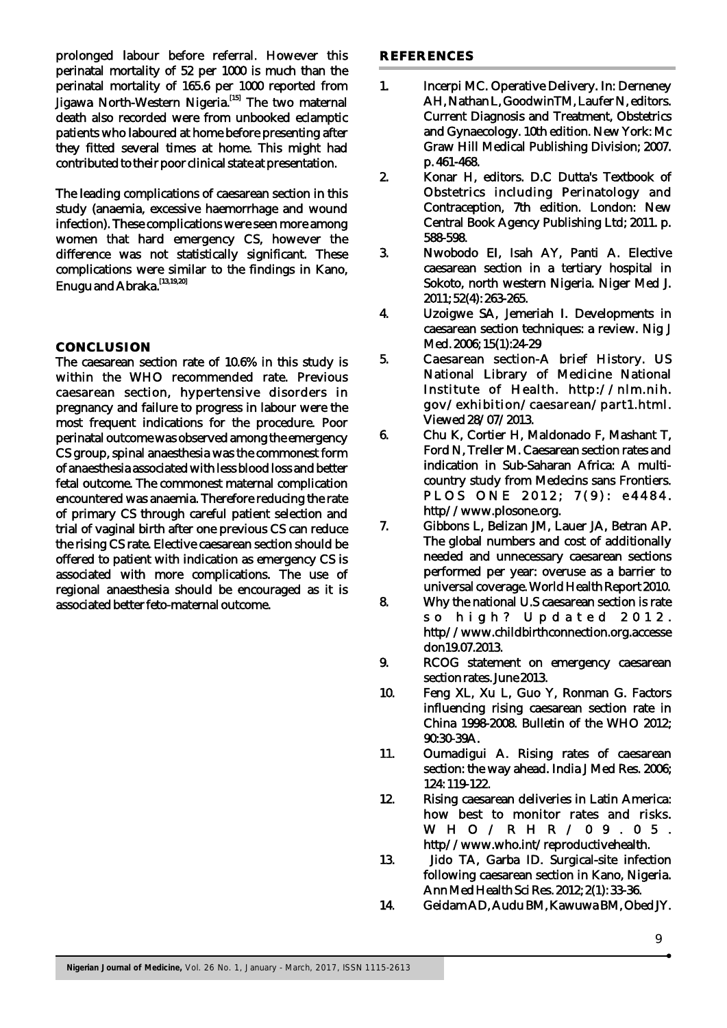prolonged labour before referral. However this perinatal mortality of 52 per 1000 is much than the perinatal mortality of 165.6 per 1000 reported from Iigawa North-Western Nigeria.<sup>[15]</sup> The two maternal death also recorded were from unbooked eclamptic patients who laboured at home before presenting after they fitted several times at home. This might had contributed to their poor clinical state at presentation.

The leading complications of caesarean section in this study (anaemia, excessive haemorrhage and wound infection). These complications were seen more among women that hard emergency CS, however the difference was not statistically significant. These complications were similar to the findings in Kano, Enugu and Abraka.<sup>[13,19,20]</sup>

# **CONCLUSION**

The caesarean section rate of 10.6% in this study is within the WHO recommended rate. Previous caesarean section, hypertensive disorders in pregnancy and failure to progress in labour were the most frequent indications for the procedure. Poor perinatal outcome was observed among the emergency CS group, spinal anaesthesia was the commonest form of anaesthesia associated with less blood loss and better fetal outcome. The commonest maternal complication encountered was anaemia. Therefore reducing the rate of primary CS through careful patient selection and trial of vaginal birth after one previous CS can reduce the rising CS rate. Elective caesarean section should be offered to patient with indication as emergency CS is associated with more complications. The use of regional anaesthesia should be encouraged as it is associated better feto-maternal outcome.

### **REFERENCES**

- 1. Incerpi MC. Operative Delivery. In: Derneney AH, Nathan L, GoodwinTM, Laufer N, editors. Current Diagnosis and Treatment, Obstetrics and Gynaecology. 10th edition. New York: Mc Graw Hill Medical Publishing Division; 2007. p. 461-468.
- 2. Konar H, editors. D.C Dutta's Textbook of Obstetrics including Perinatology and Contraception, 7th edition. London: New Central Book Agency Publishing Ltd; 2011. p. 588-598.
- 3. Nwobodo EI, Isah AY, Panti A. Elective caesarean section in a tertiary hospital in Sokoto, north western Nigeria. Niger Med J. 2011; 52(4): 263-265.
- 4. Uzoigwe SA, Jemeriah I. Developments in caesarean section techniques: a review. Nig J Med. 2006; 15(1):24-29
- 5. Caesarean section-A brief History. US National Library of Medicine National Institute of Health. http://nlm.nih. gov/exhibition/caesarean/part1.html. Viewed 28/07/2013.
- 6. Chu K, Cortier H, Maldonado F, Mashant T, Ford N, Treller M. Caesarean section rates and indication in Sub-Saharan Africa: A multicountry study from Medecins sans Frontiers. PLOS ONE 2012; 7(9): e4484. http//www.plosone.org.
- 7. Gibbons L, Belizan JM, Lauer JA, Betran AP. The global numbers and cost of additionally needed and unnecessary caesarean sections performed per year: overuse as a barrier to universal coverage. World Health Report 2010.
- 8. Why the national U.S caesarean section is rate so high? Updated 2012. http//www.childbirthconnection.org.accesse don19.07.2013.
- 9. RCOG statement on emergency caesarean section rates. June 2013.
- 10. Feng XL, Xu L, Guo Y, Ronman G. Factors influencing rising caesarean section rate in China 1998-2008. Bulletin of the WHO 2012; 90:30-39A.
- 11. Oumadigui A. Rising rates of caesarean section: the way ahead. India J Med Res. 2006; 124: 119-122.
- 12. Rising caesarean deliveries in Latin America: how best to monitor rates and risks. W H O / R H R / 0 9 . 0 5 . http//www.who.int/reproductivehealth.
- 13. Jido TA, Garba ID. Surgical-site infection following caesarean section in Kano, Nigeria. Ann Med Health Sci Res. 2012; 2(1): 33-36.
- 14. Geidam AD, Audu BM, Kawuwa BM, Obed JY.